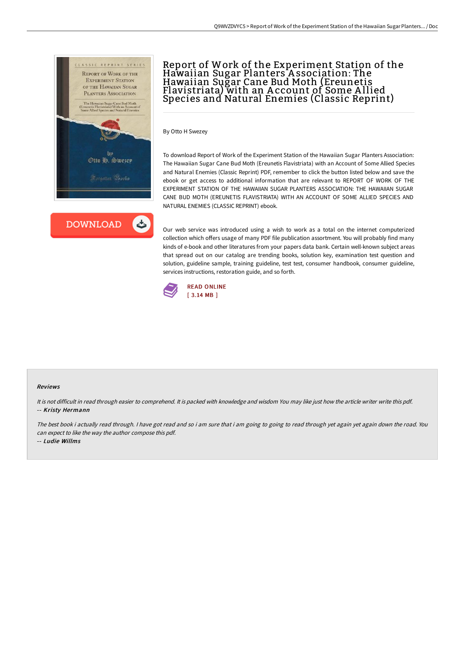



## Report of Work of the Experiment Station of the Hawaiian Sugar Planters A ssociation: The Hawaiian Sugar Cane Bud Moth (Ereunetis Flavistriata) with an A ccount of Some A llied Species and Natural Enemies (Classic Reprint)

By Otto H Swezey

To download Report of Work of the Experiment Station of the Hawaiian Sugar Planters Association: The Hawaiian Sugar Cane Bud Moth (Ereunetis Flavistriata) with an Account of Some Allied Species and Natural Enemies (Classic Reprint) PDF, remember to click the button listed below and save the ebook or get access to additional information that are relevant to REPORT OF WORK OF THE EXPERIMENT STATION OF THE HAWAIIAN SUGAR PLANTERS ASSOCIATION: THE HAWAIIAN SUGAR CANE BUD MOTH (EREUNETIS FLAVISTRIATA) WITH AN ACCOUNT OF SOME ALLIED SPECIES AND NATURAL ENEMIES (CLASSIC REPRINT) ebook.

Our web service was introduced using a wish to work as a total on the internet computerized collection which offers usage of many PDF file publication assortment. You will probably find many kinds of e-book and other literatures from your papers data bank. Certain well-known subject areas that spread out on our catalog are trending books, solution key, examination test question and solution, guideline sample, training guideline, test test, consumer handbook, consumer guideline, services instructions, restoration guide, and so forth.



## Reviews

It is not difficult in read through easier to comprehend. It is packed with knowledge and wisdom You may like just how the article writer write this pdf. -- Kristy Hermann

The best book i actually read through. I have got read and so i am sure that i am going to going to read through yet again yet again down the road. You can expect to like the way the author compose this pdf.

-- Ludie Willms